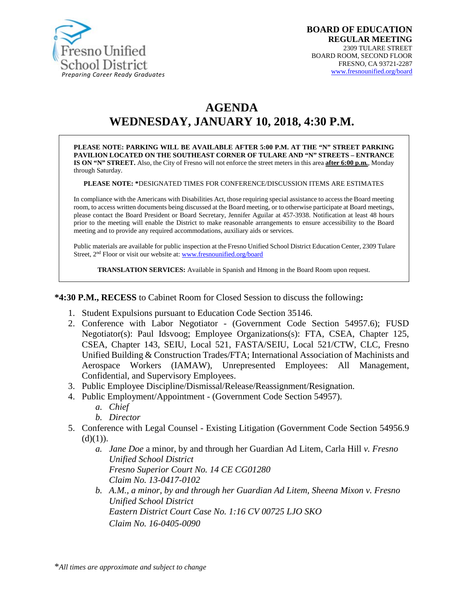

# **AGENDA WEDNESDAY, JANUARY 10, 2018, 4:30 P.M.**

**PLEASE NOTE: PARKING WILL BE AVAILABLE AFTER 5:00 P.M. AT THE "N" STREET PARKING PAVILION LOCATED ON THE SOUTHEAST CORNER OF TULARE AND "N" STREETS – ENTRANCE IS ON "N" STREET.** Also, the City of Fresno will not enforce the street meters in this area **after 6:00 p.m.**, Monday through Saturday.

**PLEASE NOTE: \***DESIGNATED TIMES FOR CONFERENCE/DISCUSSION ITEMS ARE ESTIMATES

In compliance with the Americans with Disabilities Act, those requiring special assistance to access the Board meeting room, to access written documents being discussed at the Board meeting, or to otherwise participate at Board meetings, please contact the Board President or Board Secretary, Jennifer Aguilar at 457-3938. Notification at least 48 hours prior to the meeting will enable the District to make reasonable arrangements to ensure accessibility to the Board meeting and to provide any required accommodations, auxiliary aids or services.

Public materials are available for public inspection at the Fresno Unified School District Education Center, 2309 Tulare Street, 2nd Floor or visit our website at: [www.fresnounified.org/board](http://www.fresnounified.org/board)

**TRANSLATION SERVICES:** Available in Spanish and Hmong in the Board Room upon request.

**\*4:30 P.M., RECESS** to Cabinet Room for Closed Session to discuss the following**:**

- 1. Student Expulsions pursuant to Education Code Section 35146.
- 2. Conference with Labor Negotiator (Government Code Section 54957.6); FUSD Negotiator(s): Paul Idsvoog; Employee Organizations(s): FTA, CSEA, Chapter 125, CSEA, Chapter 143, SEIU, Local 521, FASTA/SEIU, Local 521/CTW, CLC, Fresno Unified Building & Construction Trades/FTA; International Association of Machinists and Aerospace Workers (IAMAW), Unrepresented Employees: All Management, Confidential, and Supervisory Employees.
- 3. Public Employee Discipline/Dismissal/Release/Reassignment/Resignation.
- 4. Public Employment/Appointment (Government Code Section 54957).
	- *a. Chief*
	- *b. Director*
- 5. Conference with Legal Counsel Existing Litigation (Government Code Section 54956.9  $(d)(1)$ ).
	- *a. Jane Doe* a minor, by and through her Guardian Ad Litem, Carla Hill *v. Fresno Unified School District Fresno Superior Court No. 14 CE CG01280 Claim No. 13-0417-0102*
	- *b. A.M., a minor, by and through her Guardian Ad Litem, Sheena Mixon v. Fresno Unified School District Eastern District Court Case No. 1:16 CV 00725 LJO SKO Claim No. 16-0405-0090*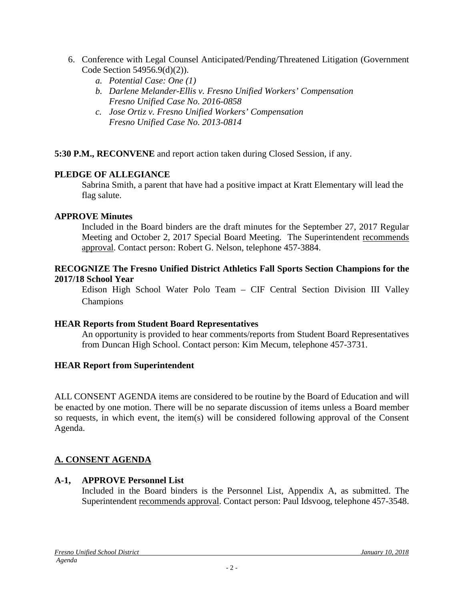- 6. Conference with Legal Counsel Anticipated/Pending/Threatened Litigation (Government Code Section 54956.9(d)(2)).
	- *a. Potential Case: One (1)*
	- *b. Darlene Melander-Ellis v. Fresno Unified Workers' Compensation Fresno Unified Case No. 2016-0858*
	- *c. Jose Ortiz v. Fresno Unified Workers' Compensation Fresno Unified Case No. 2013-0814*

**5:30 P.M., RECONVENE** and report action taken during Closed Session, if any.

### **PLEDGE OF ALLEGIANCE**

Sabrina Smith, a parent that have had a positive impact at Kratt Elementary will lead the flag salute.

### **APPROVE Minutes**

Included in the Board binders are the draft minutes for the September 27, 2017 Regular Meeting and October 2, 2017 Special Board Meeting. The Superintendent recommends approval. Contact person: Robert G. Nelson, telephone 457-3884.

### **RECOGNIZE The Fresno Unified District Athletics Fall Sports Section Champions for the 2017/18 School Year**

Edison High School Water Polo Team – CIF Central Section Division III Valley Champions

### **HEAR Reports from Student Board Representatives**

An opportunity is provided to hear comments/reports from Student Board Representatives from Duncan High School. Contact person: Kim Mecum, telephone 457-3731.

### **HEAR Report from Superintendent**

ALL CONSENT AGENDA items are considered to be routine by the Board of Education and will be enacted by one motion. There will be no separate discussion of items unless a Board member so requests, in which event, the item(s) will be considered following approval of the Consent Agenda.

# **A. CONSENT AGENDA**

### **A-1, APPROVE Personnel List**

Included in the Board binders is the Personnel List, Appendix A, as submitted. The Superintendent recommends approval. Contact person: Paul Idsvoog, telephone 457-3548.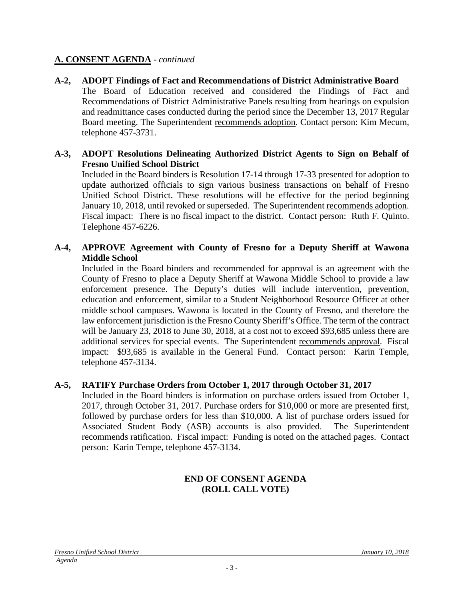### **A. CONSENT AGENDA** - *continued*

**A-2, ADOPT Findings of Fact and Recommendations of District Administrative Board** The Board of Education received and considered the Findings of Fact and Recommendations of District Administrative Panels resulting from hearings on expulsion and readmittance cases conducted during the period since the December 13, 2017 Regular Board meeting. The Superintendent recommends adoption. Contact person: Kim Mecum, telephone 457-3731.

### **A-3, ADOPT Resolutions Delineating Authorized District Agents to Sign on Behalf of Fresno Unified School District**

Included in the Board binders is Resolution 17-14 through 17-33 presented for adoption to update authorized officials to sign various business transactions on behalf of Fresno Unified School District. These resolutions will be effective for the period beginning January 10, 2018, until revoked or superseded. The Superintendent recommends adoption. Fiscal impact: There is no fiscal impact to the district. Contact person: Ruth F. Quinto. Telephone 457-6226.

### **A-4, APPROVE Agreement with County of Fresno for a Deputy Sheriff at Wawona Middle School**

Included in the Board binders and recommended for approval is an agreement with the County of Fresno to place a Deputy Sheriff at Wawona Middle School to provide a law enforcement presence. The Deputy's duties will include intervention, prevention, education and enforcement, similar to a Student Neighborhood Resource Officer at other middle school campuses. Wawona is located in the County of Fresno, and therefore the law enforcement jurisdiction is the Fresno County Sheriff's Office. The term of the contract will be January 23, 2018 to June 30, 2018, at a cost not to exceed \$93,685 unless there are additional services for special events. The Superintendent recommends approval. Fiscal impact: \$93,685 is available in the General Fund. Contact person: Karin Temple, telephone 457-3134.

# **A-5, RATIFY Purchase Orders from October 1, 2017 through October 31, 2017**

Included in the Board binders is information on purchase orders issued from October 1, 2017, through October 31, 2017. Purchase orders for \$10,000 or more are presented first, followed by purchase orders for less than \$10,000. A list of purchase orders issued for Associated Student Body (ASB) accounts is also provided. The Superintendent recommends ratification. Fiscal impact: Funding is noted on the attached pages. Contact person: Karin Tempe, telephone 457-3134.

# **END OF CONSENT AGENDA (ROLL CALL VOTE)**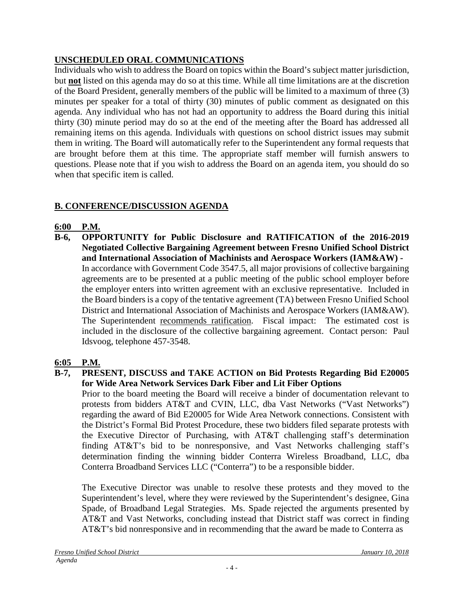# **UNSCHEDULED ORAL COMMUNICATIONS**

Individuals who wish to address the Board on topics within the Board's subject matter jurisdiction, but **not** listed on this agenda may do so at this time. While all time limitations are at the discretion of the Board President, generally members of the public will be limited to a maximum of three (3) minutes per speaker for a total of thirty (30) minutes of public comment as designated on this agenda. Any individual who has not had an opportunity to address the Board during this initial thirty (30) minute period may do so at the end of the meeting after the Board has addressed all remaining items on this agenda. Individuals with questions on school district issues may submit them in writing. The Board will automatically refer to the Superintendent any formal requests that are brought before them at this time. The appropriate staff member will furnish answers to questions. Please note that if you wish to address the Board on an agenda item, you should do so when that specific item is called.

# **B. CONFERENCE/DISCUSSION AGENDA**

# **6:00 P.M.**

**B-6, OPPORTUNITY for Public Disclosure and RATIFICATION of the 2016-2019 Negotiated Collective Bargaining Agreement between Fresno Unified School District and International Association of Machinists and Aerospace Workers (IAM&AW) -** In accordance with Government Code 3547.5, all major provisions of collective bargaining agreements are to be presented at a public meeting of the public school employer before the employer enters into written agreement with an exclusive representative. Included in the Board binders is a copy of the tentative agreement (TA) between Fresno Unified School District and International Association of Machinists and Aerospace Workers (IAM&AW). The Superintendent recommends ratification. Fiscal impact: The estimated cost is included in the disclosure of the collective bargaining agreement. Contact person: Paul Idsvoog, telephone 457-3548.

# **6:05 P.M.**

### **B-7, PRESENT, DISCUSS and TAKE ACTION on Bid Protests Regarding Bid E20005 for Wide Area Network Services Dark Fiber and Lit Fiber Options**

Prior to the board meeting the Board will receive a binder of documentation relevant to protests from bidders AT&T and CVIN, LLC, dba Vast Networks ("Vast Networks") regarding the award of Bid E20005 for Wide Area Network connections. Consistent with the District's Formal Bid Protest Procedure, these two bidders filed separate protests with the Executive Director of Purchasing, with AT&T challenging staff's determination finding AT&T's bid to be nonresponsive, and Vast Networks challenging staff's determination finding the winning bidder Conterra Wireless Broadband, LLC, dba Conterra Broadband Services LLC ("Conterra") to be a responsible bidder.

The Executive Director was unable to resolve these protests and they moved to the Superintendent's level, where they were reviewed by the Superintendent's designee, Gina Spade, of Broadband Legal Strategies. Ms. Spade rejected the arguments presented by AT&T and Vast Networks, concluding instead that District staff was correct in finding AT&T's bid nonresponsive and in recommending that the award be made to Conterra as